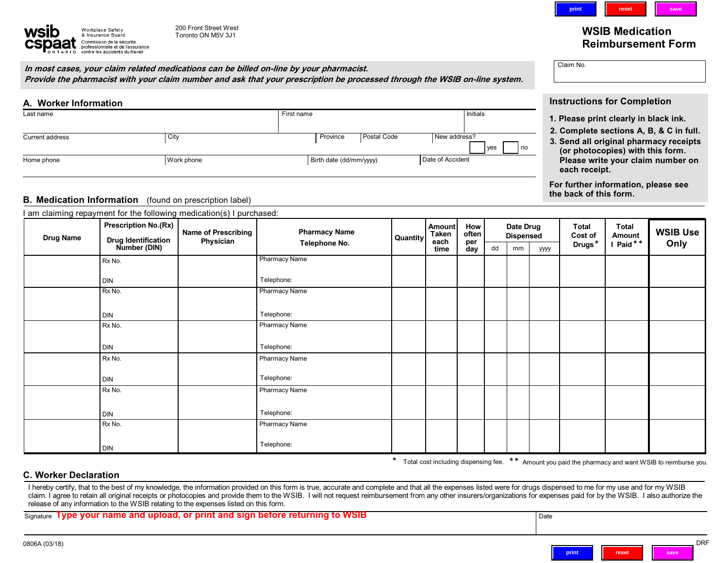**print rese** 

Workplace Safety & Insurance Board Commission de la sécurité professionnelle et de l'assurance contre les accidents du travail

# *In most cases, your claim related medications can be billed on-line by your pharmacist. Provide the pharmacist with your claim number and ask that your prescription be processed through the WSIB on-line system.*

**200 Front Street West**

| A. Worker Information  |                                                                      |                         |                             | <b>Instructions for Completion</b>                                               |  |  |
|------------------------|----------------------------------------------------------------------|-------------------------|-----------------------------|----------------------------------------------------------------------------------|--|--|
| Last name              |                                                                      | First name              | Initials                    | 1. Please print clearly in black ink.<br>2. Complete sections A, B, & C in full. |  |  |
| <b>Current address</b> | City                                                                 | Postal Code<br>Province | New address?<br>yes         | 3. Send all original pharmacy receipts<br>(or photocopies) with this form.       |  |  |
| Home phone             | Work phone                                                           | Birth date (dd/mm/yyyy) | Date of Accident            | Please write your claim number on<br>each receipt.                               |  |  |
|                        |                                                                      |                         |                             | For further information, please see<br>the back of this form.                    |  |  |
|                        | <b>B. Medication Information</b> (found on prescription label)       |                         |                             |                                                                                  |  |  |
|                        | I am claiming repayment for the following medication(s) I purchased: |                         |                             |                                                                                  |  |  |
|                        | <b>Prescription No.(Rx)</b>                                          |                         | How<br>Date Drug<br>Amountl | Total<br>Total                                                                   |  |  |

|                  | <b>B. Medication Information</b> (found on prescription label)            |                                                                      |                                       |          |                                               |                            |                               |    |             | For further information, please see<br>the back of this form. |                        |                 |  |  |
|------------------|---------------------------------------------------------------------------|----------------------------------------------------------------------|---------------------------------------|----------|-----------------------------------------------|----------------------------|-------------------------------|----|-------------|---------------------------------------------------------------|------------------------|-----------------|--|--|
|                  |                                                                           | I am claiming repayment for the following medication(s) I purchased: |                                       |          |                                               |                            |                               |    |             |                                                               |                        |                 |  |  |
| <b>Drug Name</b> | <b>Prescription No.(Rx)</b><br><b>Drug Identification</b><br>Number (DIN) | <b>Name of Prescribing</b>                                           | <b>Pharmacy Name</b><br>Telephone No. | Quantity | <b>Amount</b><br><b>Taken</b><br>each<br>time | How<br>often<br>per<br>day | Date Drug<br><b>Dispensed</b> |    |             | <b>Total</b><br>Cost of                                       | <b>Total</b><br>Amount | <b>WSIB Use</b> |  |  |
|                  |                                                                           | Physician                                                            |                                       |          |                                               |                            | dd                            | mm | <b>yyyy</b> | Drugs*                                                        | I Paid**               | Only            |  |  |
|                  | Rx No.                                                                    |                                                                      | <b>Pharmacy Name</b>                  |          |                                               |                            |                               |    |             |                                                               |                        |                 |  |  |
|                  | DIN                                                                       |                                                                      | Telephone:                            |          |                                               |                            |                               |    |             |                                                               |                        |                 |  |  |
|                  | Rx No.                                                                    |                                                                      | <b>Pharmacy Name</b>                  |          |                                               |                            |                               |    |             |                                                               |                        |                 |  |  |
|                  | <b>DIN</b>                                                                |                                                                      | Telephone:                            |          |                                               |                            |                               |    |             |                                                               |                        |                 |  |  |
|                  | Rx No.                                                                    |                                                                      | Pharmacy Name                         |          |                                               |                            |                               |    |             |                                                               |                        |                 |  |  |
|                  | <b>DIN</b>                                                                |                                                                      | Telephone:                            |          |                                               |                            |                               |    |             |                                                               |                        |                 |  |  |
|                  | Rx No.                                                                    |                                                                      | Pharmacy Name                         |          |                                               |                            |                               |    |             |                                                               |                        |                 |  |  |
|                  | DIN                                                                       |                                                                      | Telephone:                            |          |                                               |                            |                               |    |             |                                                               |                        |                 |  |  |
|                  | Rx No.                                                                    |                                                                      | Pharmacy Name                         |          |                                               |                            |                               |    |             |                                                               |                        |                 |  |  |
|                  | <b>DIN</b>                                                                |                                                                      | Telephone:                            |          |                                               |                            |                               |    |             |                                                               |                        |                 |  |  |
|                  | Rx No.                                                                    |                                                                      | Pharmacy Name                         |          |                                               |                            |                               |    |             |                                                               |                        |                 |  |  |
|                  | <b>DIN</b>                                                                |                                                                      | Telephone:                            |          |                                               |                            |                               |    |             |                                                               |                        |                 |  |  |

## **C. Worker Declaration**

I hereby certify, that to the best of my knowledge, the information provided on this form is true, accurate and complete and that all the expenses listed were for drugs dispensed to me for my use and for my WSIB claim. I agree to retain all original receipts or photocopies and provide them to the WSIB. I will not request reimbursement from any other insurers/organizations for expenses paid for by the WSIB. I also authorize the **release of any information to the WSIB relating to the expenses listed on this form.**

| Signature | ноюзо<br>ano<br>me<br>лн<br>.<br>80 K C I | .<br>or<br>$\sim$<br>-orin<br>- 10 | <b>M</b><br>VSIL<br>perore<br>,,,,,,<br>15H | ' Date |
|-----------|-------------------------------------------|------------------------------------|---------------------------------------------|--------|
|           |                                           |                                    |                                             |        |

**0806A (03/18) DRF print reset**